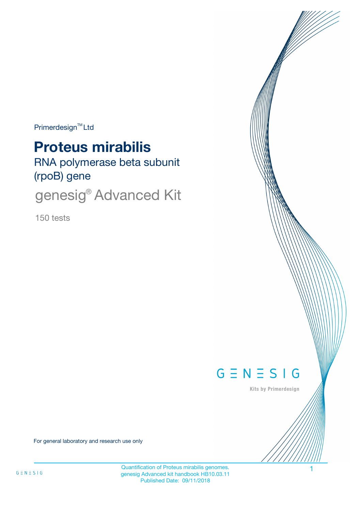Primerdesign<sup>™</sup>Ltd

# **Proteus mirabilis**

RNA polymerase beta subunit (rpoB) gene

genesig<sup>®</sup> Advanced Kit

150 tests



Kits by Primerdesign

For general laboratory and research use only

Quantification of Proteus mirabilis genomes. genesig Advanced kit handbook HB10.03.11 Published Date: 09/11/2018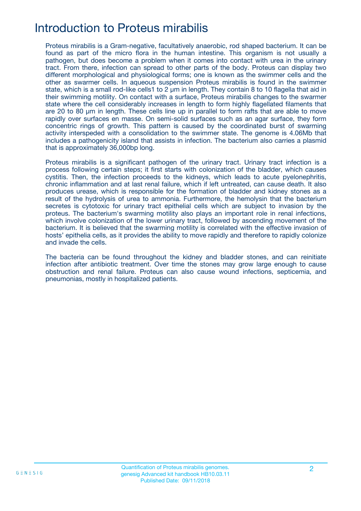## Introduction to Proteus mirabilis

Proteus mirabilis is a Gram-negative, facultatively anaerobic, rod shaped bacterium. It can be found as part of the micro flora in the human intestine. This organism is not usually a pathogen, but does become a problem when it comes into contact with urea in the urinary tract. From there, infection can spread to other parts of the body. Proteus can display two different morphological and physiological forms; one is known as the swimmer cells and the other as swarmer cells. In aqueous suspension Proteus mirabilis is found in the swimmer state, which is a small rod-like cells1 to 2 μm in length. They contain 8 to 10 flagella that aid in their swimming motility. On contact with a surface, Proteus mirabilis changes to the swarmer state where the cell considerably increases in length to form highly flagellated filaments that are 20 to 80 μm in length. These cells line up in parallel to form rafts that are able to move rapidly over surfaces en masse. On semi-solid surfaces such as an agar surface, they form concentric rings of growth. This pattern is caused by the coordinated burst of swarming activity interspeded with a consolidation to the swimmer state. The genome is 4.06Mb that includes a pathogenicity island that assists in infection. The bacterium also carries a plasmid that is approximately 36,000bp long.

Proteus mirabilis is a significant pathogen of the urinary tract. Urinary tract infection is a process following certain steps; it first starts with colonization of the bladder, which causes cystitis. Then, the infection proceeds to the kidneys, which leads to acute pyelonephritis, chronic inflammation and at last renal failure, which if left untreated, can cause death. It also produces urease, which is responsible for the formation of bladder and kidney stones as a result of the hydrolysis of urea to ammonia. Furthermore, the hemolysin that the bacterium secretes is cytotoxic for urinary tract epithelial cells which are subject to invasion by the proteus. The bacterium's swarming motility also plays an important role in renal infections, which involve colonization of the lower urinary tract, followed by ascending movement of the bacterium. It is believed that the swarming motility is correlated with the effective invasion of hosts' epithelia cells, as it provides the ability to move rapidly and therefore to rapidly colonize and invade the cells.

The bacteria can be found throughout the kidney and bladder stones, and can reinitiate infection after antibiotic treatment. Over time the stones may grow large enough to cause obstruction and renal failure. Proteus can also cause wound infections, septicemia, and pneumonias, mostly in hospitalized patients.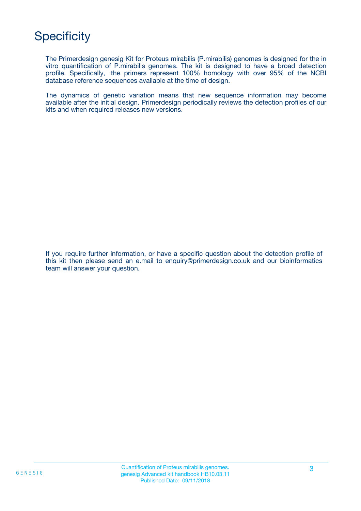## **Specificity**

The Primerdesign genesig Kit for Proteus mirabilis (P.mirabilis) genomes is designed for the in vitro quantification of P.mirabilis genomes. The kit is designed to have a broad detection profile. Specifically, the primers represent 100% homology with over 95% of the NCBI database reference sequences available at the time of design.

The dynamics of genetic variation means that new sequence information may become available after the initial design. Primerdesign periodically reviews the detection profiles of our kits and when required releases new versions.

If you require further information, or have a specific question about the detection profile of this kit then please send an e.mail to enquiry@primerdesign.co.uk and our bioinformatics team will answer your question.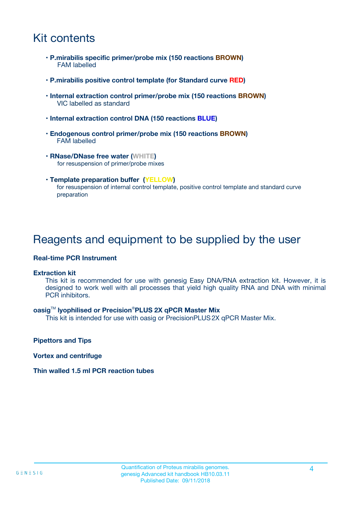## Kit contents

- **P.mirabilis specific primer/probe mix (150 reactions BROWN)** FAM labelled
- **P.mirabilis positive control template (for Standard curve RED)**
- **Internal extraction control primer/probe mix (150 reactions BROWN)** VIC labelled as standard
- **Internal extraction control DNA (150 reactions BLUE)**
- **Endogenous control primer/probe mix (150 reactions BROWN)** FAM labelled
- **RNase/DNase free water (WHITE)** for resuspension of primer/probe mixes
- **Template preparation buffer (YELLOW)** for resuspension of internal control template, positive control template and standard curve preparation

### Reagents and equipment to be supplied by the user

#### **Real-time PCR Instrument**

#### **Extraction kit**

This kit is recommended for use with genesig Easy DNA/RNA extraction kit. However, it is designed to work well with all processes that yield high quality RNA and DNA with minimal PCR inhibitors.

#### **oasig**TM **lyophilised or Precision**®**PLUS 2X qPCR Master Mix**

This kit is intended for use with oasig or PrecisionPLUS2X qPCR Master Mix.

**Pipettors and Tips**

**Vortex and centrifuge**

#### **Thin walled 1.5 ml PCR reaction tubes**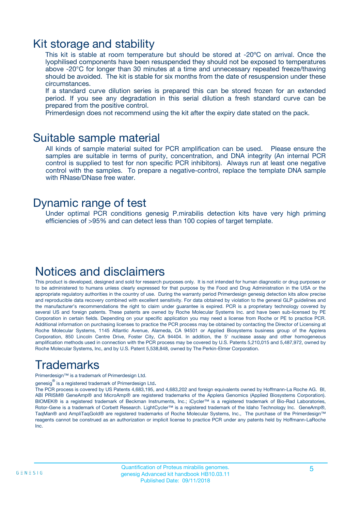### Kit storage and stability

This kit is stable at room temperature but should be stored at -20ºC on arrival. Once the lyophilised components have been resuspended they should not be exposed to temperatures above -20°C for longer than 30 minutes at a time and unnecessary repeated freeze/thawing should be avoided. The kit is stable for six months from the date of resuspension under these circumstances.

If a standard curve dilution series is prepared this can be stored frozen for an extended period. If you see any degradation in this serial dilution a fresh standard curve can be prepared from the positive control.

Primerdesign does not recommend using the kit after the expiry date stated on the pack.

### Suitable sample material

All kinds of sample material suited for PCR amplification can be used. Please ensure the samples are suitable in terms of purity, concentration, and DNA integrity (An internal PCR control is supplied to test for non specific PCR inhibitors). Always run at least one negative control with the samples. To prepare a negative-control, replace the template DNA sample with RNase/DNase free water.

### Dynamic range of test

Under optimal PCR conditions genesig P.mirabilis detection kits have very high priming efficiencies of >95% and can detect less than 100 copies of target template.

### Notices and disclaimers

This product is developed, designed and sold for research purposes only. It is not intended for human diagnostic or drug purposes or to be administered to humans unless clearly expressed for that purpose by the Food and Drug Administration in the USA or the appropriate regulatory authorities in the country of use. During the warranty period Primerdesign genesig detection kits allow precise and reproducible data recovery combined with excellent sensitivity. For data obtained by violation to the general GLP guidelines and the manufacturer's recommendations the right to claim under guarantee is expired. PCR is a proprietary technology covered by several US and foreign patents. These patents are owned by Roche Molecular Systems Inc. and have been sub-licensed by PE Corporation in certain fields. Depending on your specific application you may need a license from Roche or PE to practice PCR. Additional information on purchasing licenses to practice the PCR process may be obtained by contacting the Director of Licensing at Roche Molecular Systems, 1145 Atlantic Avenue, Alameda, CA 94501 or Applied Biosystems business group of the Applera Corporation, 850 Lincoln Centre Drive, Foster City, CA 94404. In addition, the 5' nuclease assay and other homogeneous amplification methods used in connection with the PCR process may be covered by U.S. Patents 5,210,015 and 5,487,972, owned by Roche Molecular Systems, Inc, and by U.S. Patent 5,538,848, owned by The Perkin-Elmer Corporation.

## Trademarks

Primerdesign™ is a trademark of Primerdesign Ltd.

genesig $^\circledR$  is a registered trademark of Primerdesign Ltd.

The PCR process is covered by US Patents 4,683,195, and 4,683,202 and foreign equivalents owned by Hoffmann-La Roche AG. BI, ABI PRISM® GeneAmp® and MicroAmp® are registered trademarks of the Applera Genomics (Applied Biosystems Corporation). BIOMEK® is a registered trademark of Beckman Instruments, Inc.; iCycler™ is a registered trademark of Bio-Rad Laboratories, Rotor-Gene is a trademark of Corbett Research. LightCycler™ is a registered trademark of the Idaho Technology Inc. GeneAmp®, TaqMan® and AmpliTaqGold® are registered trademarks of Roche Molecular Systems, Inc., The purchase of the Primerdesign™ reagents cannot be construed as an authorization or implicit license to practice PCR under any patents held by Hoffmann-LaRoche Inc.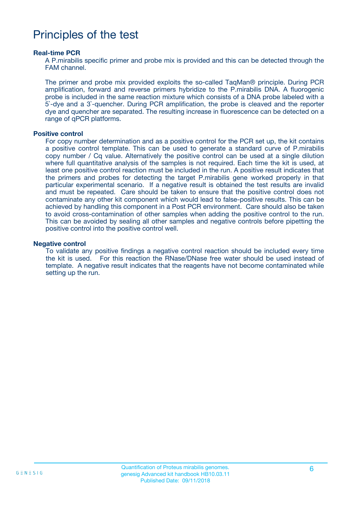## Principles of the test

#### **Real-time PCR**

A P.mirabilis specific primer and probe mix is provided and this can be detected through the FAM channel.

The primer and probe mix provided exploits the so-called TaqMan® principle. During PCR amplification, forward and reverse primers hybridize to the P.mirabilis DNA. A fluorogenic probe is included in the same reaction mixture which consists of a DNA probe labeled with a 5`-dye and a 3`-quencher. During PCR amplification, the probe is cleaved and the reporter dye and quencher are separated. The resulting increase in fluorescence can be detected on a range of qPCR platforms.

#### **Positive control**

For copy number determination and as a positive control for the PCR set up, the kit contains a positive control template. This can be used to generate a standard curve of P.mirabilis copy number / Cq value. Alternatively the positive control can be used at a single dilution where full quantitative analysis of the samples is not required. Each time the kit is used, at least one positive control reaction must be included in the run. A positive result indicates that the primers and probes for detecting the target P.mirabilis gene worked properly in that particular experimental scenario. If a negative result is obtained the test results are invalid and must be repeated. Care should be taken to ensure that the positive control does not contaminate any other kit component which would lead to false-positive results. This can be achieved by handling this component in a Post PCR environment. Care should also be taken to avoid cross-contamination of other samples when adding the positive control to the run. This can be avoided by sealing all other samples and negative controls before pipetting the positive control into the positive control well.

#### **Negative control**

To validate any positive findings a negative control reaction should be included every time the kit is used. For this reaction the RNase/DNase free water should be used instead of template. A negative result indicates that the reagents have not become contaminated while setting up the run.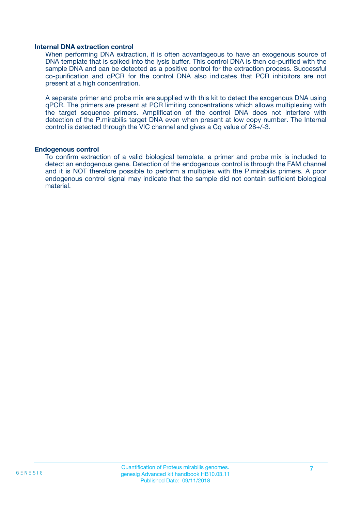#### **Internal DNA extraction control**

When performing DNA extraction, it is often advantageous to have an exogenous source of DNA template that is spiked into the lysis buffer. This control DNA is then co-purified with the sample DNA and can be detected as a positive control for the extraction process. Successful co-purification and qPCR for the control DNA also indicates that PCR inhibitors are not present at a high concentration.

A separate primer and probe mix are supplied with this kit to detect the exogenous DNA using qPCR. The primers are present at PCR limiting concentrations which allows multiplexing with the target sequence primers. Amplification of the control DNA does not interfere with detection of the P.mirabilis target DNA even when present at low copy number. The Internal control is detected through the VIC channel and gives a Cq value of 28+/-3.

#### **Endogenous control**

To confirm extraction of a valid biological template, a primer and probe mix is included to detect an endogenous gene. Detection of the endogenous control is through the FAM channel and it is NOT therefore possible to perform a multiplex with the P.mirabilis primers. A poor endogenous control signal may indicate that the sample did not contain sufficient biological material.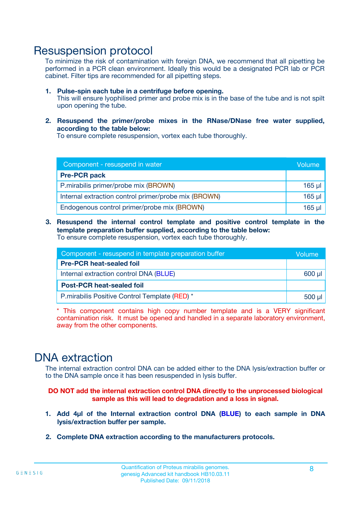### Resuspension protocol

To minimize the risk of contamination with foreign DNA, we recommend that all pipetting be performed in a PCR clean environment. Ideally this would be a designated PCR lab or PCR cabinet. Filter tips are recommended for all pipetting steps.

- **1. Pulse-spin each tube in a centrifuge before opening.** This will ensure lyophilised primer and probe mix is in the base of the tube and is not spilt upon opening the tube.
- **2. Resuspend the primer/probe mixes in the RNase/DNase free water supplied, according to the table below:**

To ensure complete resuspension, vortex each tube thoroughly.

| Component - resuspend in water                       |             |  |
|------------------------------------------------------|-------------|--|
| <b>Pre-PCR pack</b>                                  |             |  |
| P.mirabilis primer/probe mix (BROWN)                 | $165$ µl    |  |
| Internal extraction control primer/probe mix (BROWN) | $165$ $\mu$ |  |
| Endogenous control primer/probe mix (BROWN)          | 165 µl      |  |

**3. Resuspend the internal control template and positive control template in the template preparation buffer supplied, according to the table below:** To ensure complete resuspension, vortex each tube thoroughly.

| Component - resuspend in template preparation buffer |  |  |  |
|------------------------------------------------------|--|--|--|
| <b>Pre-PCR heat-sealed foil</b>                      |  |  |  |
| Internal extraction control DNA (BLUE)               |  |  |  |
| <b>Post-PCR heat-sealed foil</b>                     |  |  |  |
| P.mirabilis Positive Control Template (RED) *        |  |  |  |

\* This component contains high copy number template and is a VERY significant contamination risk. It must be opened and handled in a separate laboratory environment, away from the other components.

### DNA extraction

The internal extraction control DNA can be added either to the DNA lysis/extraction buffer or to the DNA sample once it has been resuspended in lysis buffer.

**DO NOT add the internal extraction control DNA directly to the unprocessed biological sample as this will lead to degradation and a loss in signal.**

- **1. Add 4µl of the Internal extraction control DNA (BLUE) to each sample in DNA lysis/extraction buffer per sample.**
- **2. Complete DNA extraction according to the manufacturers protocols.**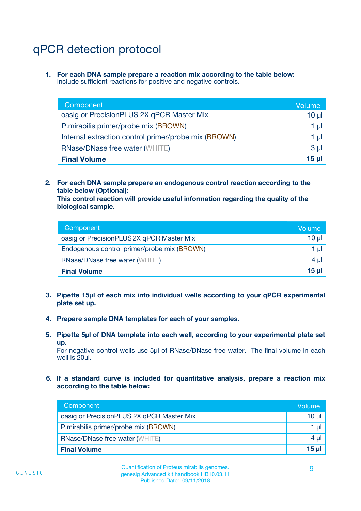## qPCR detection protocol

**1. For each DNA sample prepare a reaction mix according to the table below:** Include sufficient reactions for positive and negative controls.

| Component                                            | Volume   |
|------------------------------------------------------|----------|
| oasig or PrecisionPLUS 2X qPCR Master Mix            | 10 $\mu$ |
| P.mirabilis primer/probe mix (BROWN)                 | 1 µI     |
| Internal extraction control primer/probe mix (BROWN) | 1 µl     |
| <b>RNase/DNase free water (WHITE)</b>                | $3 \mu$  |
| <b>Final Volume</b>                                  | 15 µl    |

**2. For each DNA sample prepare an endogenous control reaction according to the table below (Optional):**

**This control reaction will provide useful information regarding the quality of the biological sample.**

| Component                                   | Volume          |
|---------------------------------------------|-----------------|
| oasig or PrecisionPLUS 2X qPCR Master Mix   | $10 \mu$        |
| Endogenous control primer/probe mix (BROWN) | 1 µI            |
| <b>RNase/DNase free water (WHITE)</b>       | 4 µl            |
| <b>Final Volume</b>                         | 15 <sub>µ</sub> |

- **3. Pipette 15µl of each mix into individual wells according to your qPCR experimental plate set up.**
- **4. Prepare sample DNA templates for each of your samples.**
- **5. Pipette 5µl of DNA template into each well, according to your experimental plate set up.**

For negative control wells use 5µl of RNase/DNase free water. The final volume in each well is 20ul.

**6. If a standard curve is included for quantitative analysis, prepare a reaction mix according to the table below:**

| Component                                 | Volume          |
|-------------------------------------------|-----------------|
| oasig or PrecisionPLUS 2X qPCR Master Mix | 10 $\mu$        |
| P.mirabilis primer/probe mix (BROWN)      | 1 µI I          |
| <b>RNase/DNase free water (WHITE)</b>     | 4 µl            |
| <b>Final Volume</b>                       | 15 <sub>µ</sub> |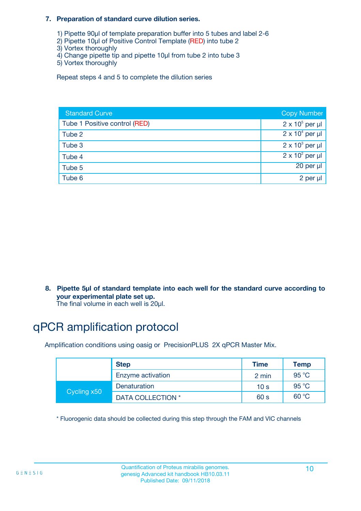#### **7. Preparation of standard curve dilution series.**

- 1) Pipette 90µl of template preparation buffer into 5 tubes and label 2-6
- 2) Pipette 10µl of Positive Control Template (RED) into tube 2
- 3) Vortex thoroughly
- 4) Change pipette tip and pipette 10µl from tube 2 into tube 3
- 5) Vortex thoroughly

Repeat steps 4 and 5 to complete the dilution series

| <b>Standard Curve</b>         | <b>Copy Number</b>     |
|-------------------------------|------------------------|
| Tube 1 Positive control (RED) | $2 \times 10^5$ per µl |
| Tube 2                        | $2 \times 10^4$ per µl |
| Tube 3                        | $2 \times 10^3$ per µl |
| Tube 4                        | $2 \times 10^2$ per µl |
| Tube 5                        | 20 per µl              |
| Tube 6                        | 2 per µl               |

**8. Pipette 5µl of standard template into each well for the standard curve according to your experimental plate set up.**

#### The final volume in each well is 20µl.

## qPCR amplification protocol

Amplification conditions using oasig or PrecisionPLUS 2X qPCR Master Mix.

|             | <b>Step</b>       | <b>Time</b>     | Temp    |
|-------------|-------------------|-----------------|---------|
|             | Enzyme activation | 2 min           | 95 °C   |
| Cycling x50 | Denaturation      | 10 <sub>s</sub> | 95 $°C$ |
|             | DATA COLLECTION * | 60 s            | 60 °C   |

\* Fluorogenic data should be collected during this step through the FAM and VIC channels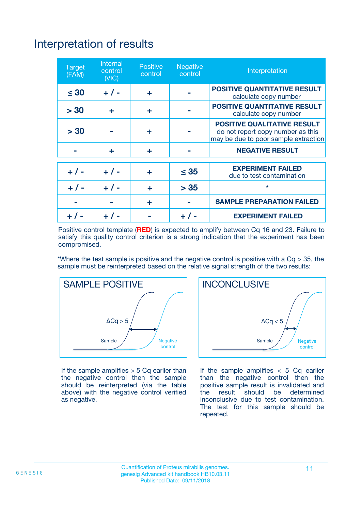# Interpretation of results

| <b>Target</b><br>(FAM) | <b>Internal</b><br>control<br>(NIC) | <b>Positive</b><br>control | <b>Negative</b><br>control | Interpretation                                                                                                  |
|------------------------|-------------------------------------|----------------------------|----------------------------|-----------------------------------------------------------------------------------------------------------------|
| $\leq 30$              | $+ 1 -$                             | ÷                          |                            | <b>POSITIVE QUANTITATIVE RESULT</b><br>calculate copy number                                                    |
| > 30                   | ٠                                   | ÷                          |                            | <b>POSITIVE QUANTITATIVE RESULT</b><br>calculate copy number                                                    |
| > 30                   |                                     | ÷                          |                            | <b>POSITIVE QUALITATIVE RESULT</b><br>do not report copy number as this<br>may be due to poor sample extraction |
|                        | ÷                                   | ÷                          |                            | <b>NEGATIVE RESULT</b>                                                                                          |
| $+ 1 -$                | $+ 1 -$                             | ÷                          | $\leq$ 35                  | <b>EXPERIMENT FAILED</b><br>due to test contamination                                                           |
| $+$ / -                | $+ 1 -$                             | ÷                          | > 35                       | $\star$                                                                                                         |
|                        |                                     | ÷                          |                            | <b>SAMPLE PREPARATION FAILED</b>                                                                                |
|                        |                                     |                            | $+$ /                      | <b>EXPERIMENT FAILED</b>                                                                                        |

Positive control template (**RED**) is expected to amplify between Cq 16 and 23. Failure to satisfy this quality control criterion is a strong indication that the experiment has been compromised.

\*Where the test sample is positive and the negative control is positive with a  $Ca > 35$ , the sample must be reinterpreted based on the relative signal strength of the two results:



If the sample amplifies  $>$  5 Cq earlier than the negative control then the sample should be reinterpreted (via the table above) with the negative control verified as negative.



If the sample amplifies  $< 5$  Cq earlier than the negative control then the positive sample result is invalidated and<br>the result should be determined  $the$  result should be inconclusive due to test contamination. The test for this sample should be repeated.